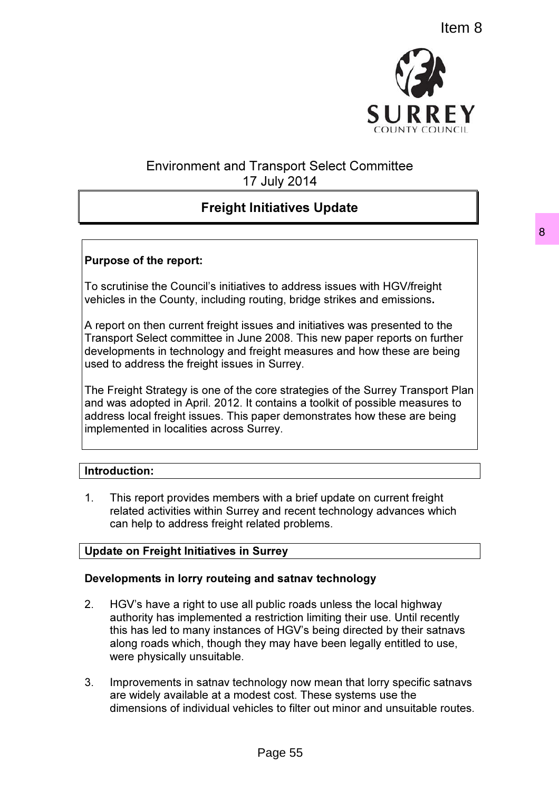

# Environment and Transport Select Committee 17 July 2014

# Freight Initiatives Update

# Purpose of the report:

To scrutinise the Council's initiatives to address issues with HGV/freight vehicles in the County, including routing, bridge strikes and emissions.

A report on then current freight issues and initiatives was presented to the Transport Select committee in June 2008. This new paper reports on further developments in technology and freight measures and how these are being used to address the freight issues in Surrey.

The Freight Strategy is one of the core strategies of the Surrey Transport Plan and was adopted in April. 2012. It contains a toolkit of possible measures to address local freight issues. This paper demonstrates how these are being implemented in localities across Surrey.

# Introduction:

1. This report provides members with a brief update on current freight related activities within Surrey and recent technology advances which can help to address freight related problems.

# Update on Freight Initiatives in Surrey

# Developments in lorry routeing and satnav technology

- 2. HGV's have a right to use all public roads unless the local highway authority has implemented a restriction limiting their use. Until recently this has led to many instances of HGV's being directed by their satnavs along roads which, though they may have been legally entitled to use, were physically unsuitable.
- 3. Improvements in satnav technology now mean that lorry specific satnavs are widely available at a modest cost. These systems use the dimensions of individual vehicles to filter out minor and unsuitable routes.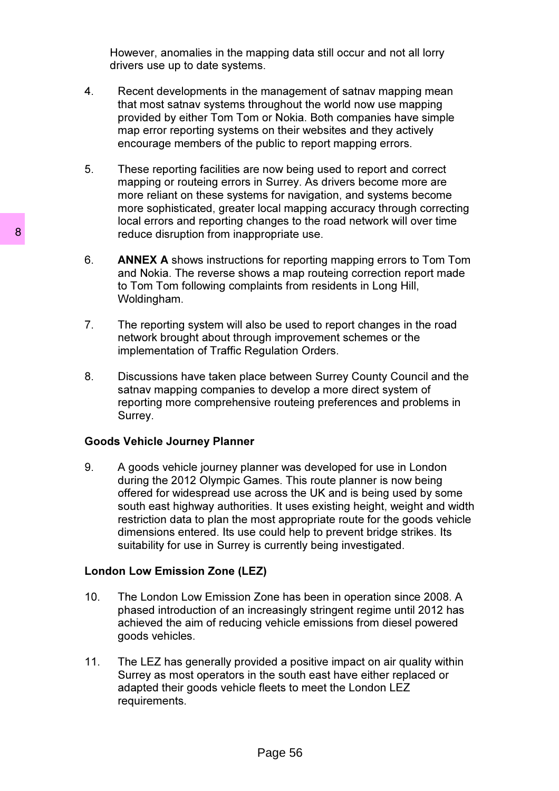However, anomalies in the mapping data still occur and not all lorry drivers use up to date systems.

- 4. Recent developments in the management of satnav mapping mean that most satnav systems throughout the world now use mapping provided by either Tom Tom or Nokia. Both companies have simple map error reporting systems on their websites and they actively encourage members of the public to report mapping errors.
- 5. These reporting facilities are now being used to report and correct mapping or routeing errors in Surrey. As drivers become more are more reliant on these systems for navigation, and systems become more sophisticated, greater local mapping accuracy through correcting local errors and reporting changes to the road network will over time reduce disruption from inappropriate use.
- 6. ANNEX A shows instructions for reporting mapping errors to Tom Tom and Nokia. The reverse shows a map routeing correction report made to Tom Tom following complaints from residents in Long Hill, Woldingham.
- 7. The reporting system will also be used to report changes in the road network brought about through improvement schemes or the implementation of Traffic Regulation Orders.
- 8. Discussions have taken place between Surrey County Council and the satnav mapping companies to develop a more direct system of reporting more comprehensive routeing preferences and problems in Surrey.

## Goods Vehicle Journey Planner

9. A goods vehicle journey planner was developed for use in London during the 2012 Olympic Games. This route planner is now being offered for widespread use across the UK and is being used by some south east highway authorities. It uses existing height, weight and width restriction data to plan the most appropriate route for the goods vehicle dimensions entered. Its use could help to prevent bridge strikes. Its suitability for use in Surrey is currently being investigated.

# London Low Emission Zone (LEZ)

- 10. The London Low Emission Zone has been in operation since 2008. A phased introduction of an increasingly stringent regime until 2012 has achieved the aim of reducing vehicle emissions from diesel powered goods vehicles.
- 11. The LEZ has generally provided a positive impact on air quality within Surrey as most operators in the south east have either replaced or adapted their goods vehicle fleets to meet the London LEZ requirements.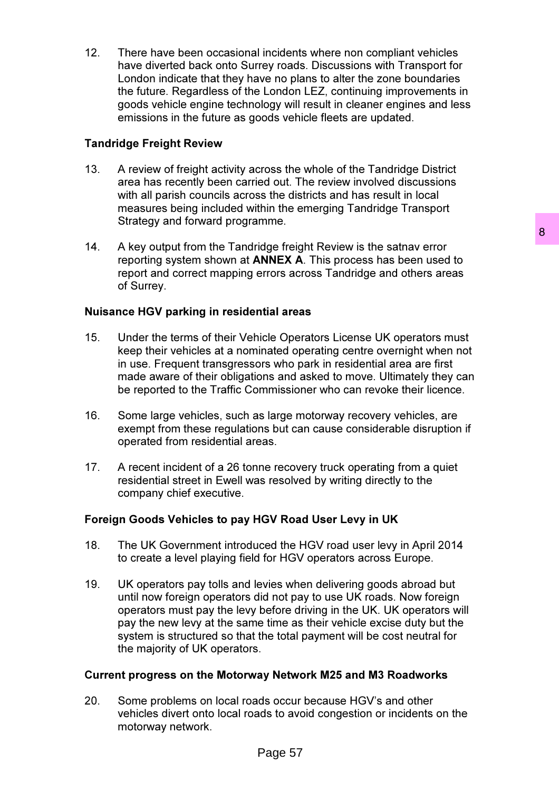12. There have been occasional incidents where non compliant vehicles have diverted back onto Surrey roads. Discussions with Transport for London indicate that they have no plans to alter the zone boundaries the future. Regardless of the London LEZ, continuing improvements in goods vehicle engine technology will result in cleaner engines and less emissions in the future as goods vehicle fleets are updated.

# Tandridge Freight Review

- 13. A review of freight activity across the whole of the Tandridge District area has recently been carried out. The review involved discussions with all parish councils across the districts and has result in local measures being included within the emerging Tandridge Transport Strategy and forward programme.
- 14. A key output from the Tandridge freight Review is the satnav error reporting system shown at ANNEX A. This process has been used to report and correct mapping errors across Tandridge and others areas of Surrey.

# Nuisance HGV parking in residential areas

- 15. Under the terms of their Vehicle Operators License UK operators must keep their vehicles at a nominated operating centre overnight when not in use. Frequent transgressors who park in residential area are first made aware of their obligations and asked to move. Ultimately they can be reported to the Traffic Commissioner who can revoke their licence.
- 16. Some large vehicles, such as large motorway recovery vehicles, are exempt from these regulations but can cause considerable disruption if operated from residential areas.
- 17. A recent incident of a 26 tonne recovery truck operating from a quiet residential street in Ewell was resolved by writing directly to the company chief executive.

# Foreign Goods Vehicles to pay HGV Road User Levy in UK

- 18. The UK Government introduced the HGV road user levy in April 2014 to create a level playing field for HGV operators across Europe.
- 19. UK operators pay tolls and levies when delivering goods abroad but until now foreign operators did not pay to use UK roads. Now foreign operators must pay the levy before driving in the UK. UK operators will pay the new levy at the same time as their vehicle excise duty but the system is structured so that the total payment will be cost neutral for the majority of UK operators.

# Current progress on the Motorway Network M25 and M3 Roadworks

20. Some problems on local roads occur because HGV's and other vehicles divert onto local roads to avoid congestion or incidents on the motorway network.